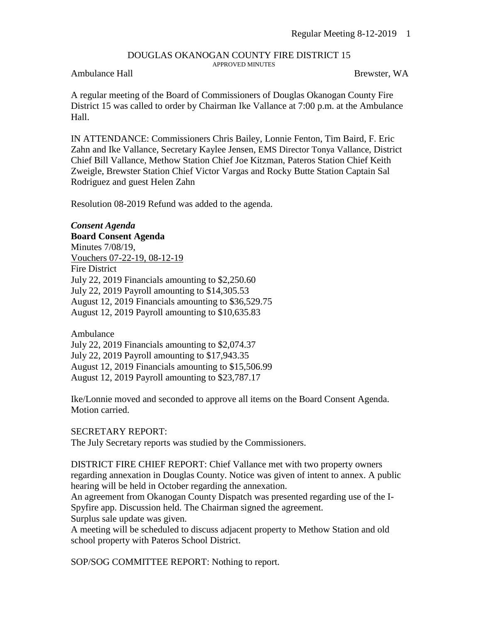## DOUGLAS OKANOGAN COUNTY FIRE DISTRICT 15 APPROVED MINUTES

## Ambulance Hall Brewster, WA

A regular meeting of the Board of Commissioners of Douglas Okanogan County Fire District 15 was called to order by Chairman Ike Vallance at 7:00 p.m. at the Ambulance Hall.

IN ATTENDANCE: Commissioners Chris Bailey, Lonnie Fenton, Tim Baird, F. Eric Zahn and Ike Vallance, Secretary Kaylee Jensen, EMS Director Tonya Vallance, District Chief Bill Vallance, Methow Station Chief Joe Kitzman, Pateros Station Chief Keith Zweigle, Brewster Station Chief Victor Vargas and Rocky Butte Station Captain Sal Rodriguez and guest Helen Zahn

Resolution 08-2019 Refund was added to the agenda.

*Consent Agenda* **Board Consent Agenda** Minutes 7/08/19, Vouchers 07-22-19, 08-12-19 Fire District July 22, 2019 Financials amounting to \$2,250.60 July 22, 2019 Payroll amounting to \$14,305.53 August 12, 2019 Financials amounting to \$36,529.75 August 12, 2019 Payroll amounting to \$10,635.83

Ambulance July 22, 2019 Financials amounting to \$2,074.37 July 22, 2019 Payroll amounting to \$17,943.35 August 12, 2019 Financials amounting to \$15,506.99 August 12, 2019 Payroll amounting to \$23,787.17

Ike/Lonnie moved and seconded to approve all items on the Board Consent Agenda. Motion carried.

SECRETARY REPORT: The July Secretary reports was studied by the Commissioners.

DISTRICT FIRE CHIEF REPORT: Chief Vallance met with two property owners regarding annexation in Douglas County. Notice was given of intent to annex. A public hearing will be held in October regarding the annexation.

An agreement from Okanogan County Dispatch was presented regarding use of the I-Spyfire app. Discussion held. The Chairman signed the agreement. Surplus sale update was given.

A meeting will be scheduled to discuss adjacent property to Methow Station and old school property with Pateros School District.

SOP/SOG COMMITTEE REPORT: Nothing to report.